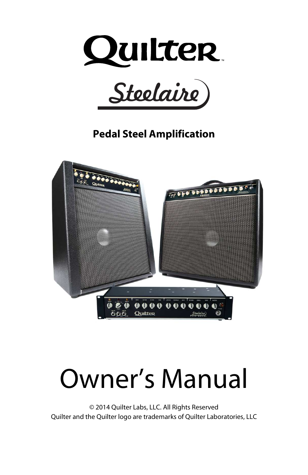



**Pedal Steel Amplification** 



# Owner's Manual

© 2014 Quilter Labs, LLC. All Rights Reserved Quilter and the Quilter logo are trademarks of Quilter Laboratories, LLC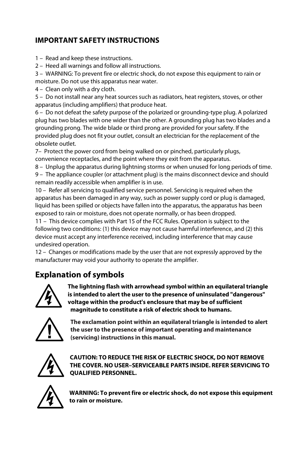#### **IMPORTANT SAFETY INSTRUCTIONS**

- 1 Read and keep these instructions.
- 2 Heed all warnings and follow all instructions.

3 – WARNING: To prevent fire or electric shock, do not expose this equipment to rain or moisture. Do not use this apparatus near water.

4 – Clean only with a dry cloth.

5 – Do not install near any heat sources such as radiators, heat registers, stoves, or other apparatus (including amplifiers) that produce heat.

6 – Do not defeat the safety purpose of the polarized or grounding-type plug. A polarized plug has two blades with one wider than the other. A grounding plug has two blades and a grounding prong. The wide blade or third prong are provided for your safety. If the provided plug does not fit your outlet, consult an electrician for the replacement of the obsolete outlet.

7– Protect the power cord from being walked on or pinched, particularly plugs, convenience receptacles, and the point where they exit from the apparatus.

8 – Unplug the apparatus during lightning storms or when unused for long periods of time.

9 – The appliance coupler (or attachment plug) is the mains disconnect device and should remain readily accessible when amplifier is in use.

10 – Refer all servicing to qualified service personnel. Servicing is required when the apparatus has been damaged in any way, such as power supply cord or plug is damaged, liquid has been spilled or objects have fallen into the apparatus, the apparatus has been exposed to rain or moisture, does not operate normally, or has been dropped.

11 – This device complies with Part 15 of the FCC Rules. Operation is subject to the following two conditions: (1) this device may not cause harmful interference, and (2) this device must accept any interference received, including interference that may cause undesired operation.

12 – Changes or modifications made by the user that are not expressly approved by the manufacturer may void your authority to operate the amplifier.

#### **Explanation of symbols**



**The lightning flash with arrowhead symbol within an equilateral triangle is intended to alert the user to the presence of uninsulated "dangerous" voltage within the product's enclosure that may be of sufficient magnitude to constitute a risk of electric shock to humans.** 



**The exclamation point within an equilateral triangle is intended to alert the user to the presence of important operating and maintenance (servicing) instructions in this manual.**



**CAUTION: TO REDUCE THE RISK OF ELECTRIC SHOCK, DO NOT REMOVE THE COVER. NO USER–SERVICEABLE PARTS INSIDE. REFER SERVICING TO QUALIFIED PERSONNEL.** 



**WARNING: To prevent fire or electric shock, do not expose this equipment to rain or moisture.**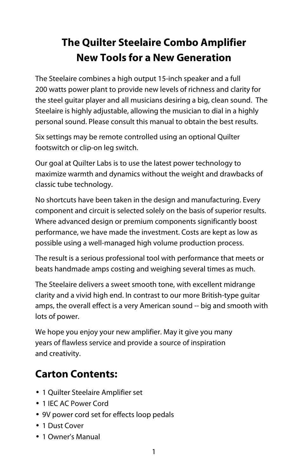# **The Quilter Steelaire Combo Amplifier New Tools for a New Generation**

The Steelaire combines a high output 15-inch speaker and a full 200 watts power plant to provide new levels of richness and clarity for the steel guitar player and all musicians desiring a big, clean sound. The Steelaire is highly adjustable, allowing the musician to dial in a highly personal sound. Please consult this manual to obtain the best results.

Six settings may be remote controlled using an optional Quilter footswitch or clip-on leg switch.

Our goal at Quilter Labs is to use the latest power technology to maximize warmth and dynamics without the weight and drawbacks of classic tube technology.

No shortcuts have been taken in the design and manufacturing. Every component and circuit is selected solely on the basis of superior results. Where advanced design or premium components significantly boost performance, we have made the investment. Costs are kept as low as possible using a well-managed high volume production process.

The result is a serious professional tool with performance that meets or beats handmade amps costing and weighing several times as much.

The Steelaire delivers a sweet smooth tone, with excellent midrange clarity and a vivid high end. In contrast to our more British-type guitar amps, the overall effect is a very American sound -- big and smooth with lots of power.

We hope you enjoy your new amplifier. May it give you many years of flawless service and provide a source of inspiration and creativity.

# **Carton Contents:**

- 1 Quilter Steelaire Amplifier set
- 1 IEC AC Power Cord
- 9V power cord set for effects loop pedals
- 1 Dust Cover
- 1 Owner's Manual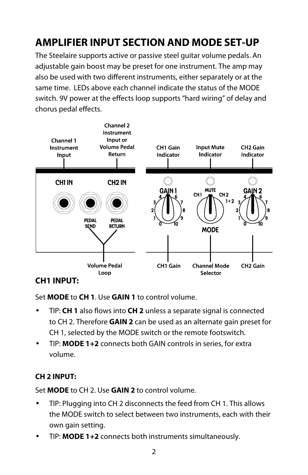# **AMPLIFIER INPUT SECTION AND MODE SET-UP**

The Steelaire supports active or passive steel guitar volume pedals. An adjustable gain boost may be preset for one instrument. The amp may also be used with two different instruments, either separately or at the same time. LEDs above each channel indicate the status of the MODE switch. 9V power at the effects loop supports "hard wiring" of delay and chorus pedal effects.



#### **CH1 INPUT:**

Set **MODE** to **CH 1**. Use **GAIN 1** to control volume.

- TIP: **CH 1** also flows into **CH 2** unless a separate signal is connected to CH 2. Therefore **GAIN 2** can be used as an alternate gain preset for CH 1, selected by the MODE switch or the remote footswitch.
- TIP: **MODE 1+2** connects both GAIN controls in series, for extra volume.

#### **CH 2 INPUT:**

Set **MODE** to CH 2. Use **GAIN 2** to control volume.

- TIP: Plugging into CH 2 disconnects the feed from CH 1. This allows the MODE switch to select between two instruments, each with their own gain setting.
- TIP: **MODE 1+2** connects both instruments simultaneously.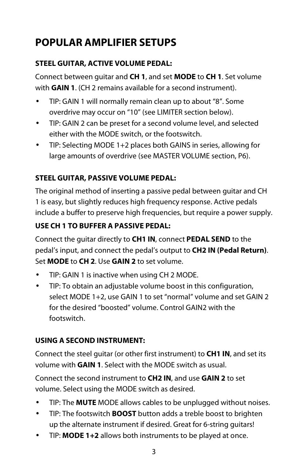# **POPULAR AMPLIFIER SETUPS**

#### **STEEL GUITAR, ACTIVE VOLUME PEDAL:**

Connect between guitar and **CH 1**, and set **MODE** to **CH 1**. Set volume with **GAIN 1**. (CH 2 remains available for a second instrument).

- TIP: GAIN 1 will normally remain clean up to about "8". Some overdrive may occur on "10" (see LIMITER section below).
- TIP: GAIN 2 can be preset for a second volume level, and selected either with the MODE switch, or the footswitch.
- TIP: Selecting MODE 1+2 places both GAINS in series, allowing for large amounts of overdrive (see MASTER VOLUME section, P6).

#### **STEEL GUITAR, PASSIVE VOLUME PEDAL:**

The original method of inserting a passive pedal between guitar and CH 1 is easy, but slightly reduces high frequency response. Active pedals include a buffer to preserve high frequencies, but require a power supply.

#### **USE CH 1 TO BUFFER A PASSIVE PEDAL:**

Connect the guitar directly to **CH1 IN**, connect **PEDAL SEND** to the pedal's input, and connect the pedal's output to **CH2 IN (Pedal Return)**. Set **MODE** to **CH 2**. Use **GAIN 2** to set volume.

- TIP: GAIN 1 is inactive when using CH 2 MODE.
- TIP: To obtain an adjustable volume boost in this configuration, select MODE 1+2, use GAIN 1 to set "normal" volume and set GAIN 2 for the desired "boosted" volume. Control GAIN2 with the footswitch.

#### **USING A SECOND INSTRUMENT:**

Connect the steel guitar (or other first instrument) to **CH1 IN**, and set its volume with **GAIN 1**. Select with the MODE switch as usual.

Connect the second instrument to **CH2 IN**, and use **GAIN 2** to set volume. Select using the MODE switch as desired.

- TIP: The **MUTE** MODE allows cables to be unplugged without noises.
- TIP: The footswitch **BOOST** button adds a treble boost to brighten up the alternate instrument if desired. Great for 6-string guitars!
- TIP: **MODE 1+2** allows both instruments to be played at once.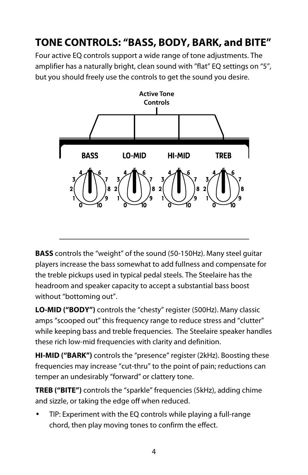# **TONE CONTROLS: "BASS, BODY, BARK, and BITE"**

Four active EQ controls support a wide range of tone adjustments. The amplifier has a naturally bright, clean sound with "flat" EQ settings on "5", but you should freely use the controls to get the sound you desire.



**BASS** controls the "weight" of the sound (50-150Hz). Many steel guitar players increase the bass somewhat to add fullness and compensate for the treble pickups used in typical pedal steels. The Steelaire has the headroom and speaker capacity to accept a substantial bass boost without "bottoming out".

**LO-MID ("BODY")** controls the "chesty" register (500Hz). Many classic amps "scooped out" this frequency range to reduce stress and "clutter" while keeping bass and treble frequencies. The Steelaire speaker handles these rich low-mid frequencies with clarity and definition.

**HI-MID ("BARK")** controls the "presence" register (2kHz). Boosting these frequencies may increase "cut-thru" to the point of pain; reductions can temper an undesirably "forward" or clattery tone.

**TREB ("BITE")** controls the "sparkle" frequencies (5kHz), adding chime and sizzle, or taking the edge off when reduced.

• TIP: Experiment with the EQ controls while playing a full-range chord, then play moving tones to confirm the effect.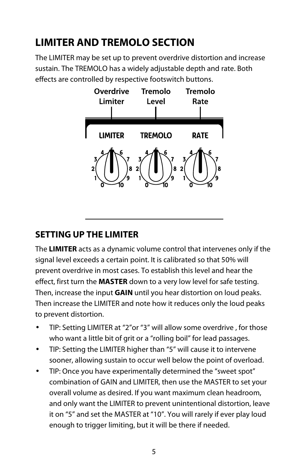# **LIMITER AND TREMOLO SECTION**

The LIMITER may be set up to prevent overdrive distortion and increase sustain. The TREMOLO has a widely adjustable depth and rate. Both effects are controlled by respective footswitch buttons.



#### **SETTING UP THE LIMITER**

The **LIMITER** acts as a dynamic volume control that intervenes only if the signal level exceeds a certain point. It is calibrated so that 50% will prevent overdrive in most cases. To establish this level and hear the effect, first turn the **MASTER** down to a very low level for safe testing. Then, increase the input **GAIN** until you hear distortion on loud peaks. Then increase the LIMITER and note how it reduces only the loud peaks to prevent distortion.

- TIP: Setting LIMITER at "2"or "3" will allow some overdrive , for those who want a little bit of grit or a "rolling boil" for lead passages.
- TIP: Setting the LIMITER higher than "5" will cause it to intervene sooner, allowing sustain to occur well below the point of overload.
- TIP: Once you have experimentally determined the "sweet spot" combination of GAIN and LIMITER, then use the MASTER to set your overall volume as desired. If you want maximum clean headroom, and only want the LIMITER to prevent unintentional distortion, leave it on "5" and set the MASTER at "10". You will rarely if ever play loud enough to trigger limiting, but it will be there if needed.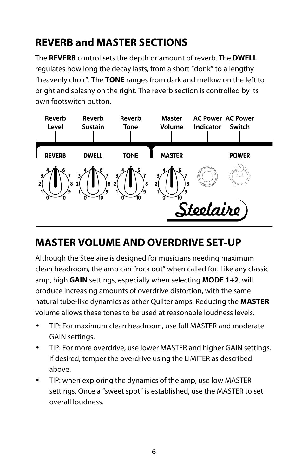# **REVERB and MASTER SECTIONS**

The **REVERB** control sets the depth or amount of reverb. The **DWELL** regulates how long the decay lasts, from a short "donk" to a lengthy "heavenly choir". The **TONE** ranges from dark and mellow on the left to bright and splashy on the right. The reverb section is controlled by its own footswitch button.



## **MASTER VOLUME AND OVERDRIVE SET-UP**

Although the Steelaire is designed for musicians needing maximum clean headroom, the amp can "rock out" when called for. Like any classic amp, high **GAIN** settings, especially when selecting **MODE 1+2**, will produce increasing amounts of overdrive distortion, with the same natural tube-like dynamics as other Quilter amps. Reducing the **MASTER** volume allows these tones to be used at reasonable loudness levels.

- TIP: For maximum clean headroom, use full MASTER and moderate GAIN settings.
- TIP: For more overdrive, use lower MASTER and higher GAIN settings. If desired, temper the overdrive using the LIMITER as described above.
- TIP: when exploring the dynamics of the amp, use low MASTER settings. Once a "sweet spot" is established, use the MASTER to set overall loudness.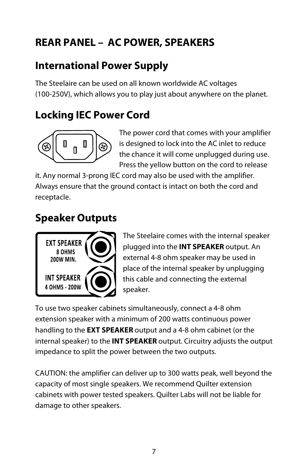# **REAR PANEL – AC POWER, SPEAKERS**

## **International Power Supply**

The Steelaire can be used on all known worldwide AC voltages (100-250V), which allows you to play just about anywhere on the planet.

## **Locking IEC Power Cord**



The power cord that comes with your amplifier is designed to lock into the AC inlet to reduce the chance it will come unplugged during use. Press the yellow button on the cord to release

it. Any normal 3-prong IEC cord may also be used with the amplifier. Always ensure that the ground contact is intact on both the cord and receptacle.

## **Speaker Outputs**



The Steelaire comes with the internal speaker plugged into the **INT SPEAKER** output. An external 4-8 ohm speaker may be used in place of the internal speaker by unplugging this cable and connecting the external speaker.

To use two speaker cabinets simultaneously, connect a 4-8 ohm extension speaker with a minimum of 200 watts continuous power handling to the **EXT SPEAKER** output and a 4-8 ohm cabinet (or the internal speaker) to the **INT SPEAKER** output. Circuitry adjusts the output impedance to split the power between the two outputs.

CAUTION: the amplifier can deliver up to 300 watts peak, well beyond the capacity of most single speakers. We recommend Quilter extension cabinets with power tested speakers. Quilter Labs will not be liable for damage to other speakers.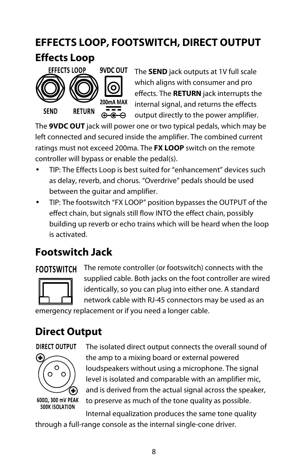# **EFFECTS LOOP, FOOTSWITCH, DIRECT OUTPUT**

## **Effects Loop**



The **SEND** jack outputs at 1V full scale which aligns with consumer and pro effects. The **RETURN** jack interrupts the internal signal, and returns the effects output directly to the power amplifier.

The **9VDC OUT** jack will power one or two typical pedals, which may be left connected and secured inside the amplifier. The combined current ratings must not exceed 200ma. The **FX LOOP** switch on the remote controller will bypass or enable the pedal(s).

- TIP: The Effects Loop is best suited for "enhancement" devices such as delay, reverb, and chorus. "Overdrive" pedals should be used between the guitar and amplifier.
- TIP: The footswitch "FX LOOP" position bypasses the OUTPUT of the effect chain, but signals still flow INTO the effect chain, possibly building up reverb or echo trains which will be heard when the loop is activated.

## **Footswitch Jack**

#### **FOOTSWITCH**



The remote controller (or footswitch) connects with the supplied cable. Both jacks on the foot controller are wired identically, so you can plug into either one. A standard network cable with RJ-45 connectors may be used as an

emergency replacement or if you need a longer cable.

## **Direct Output**

#### DIRECT OUTPUT



The isolated direct output connects the overall sound of the amp to a mixing board or external powered loudspeakers without using a microphone. The signal level is isolated and comparable with an amplifier mic, and is derived from the actual signal across the speaker, to preserve as much of the tone quality as possible.

**500K ISOLATION** Internal equalization produces the same tone quality through a full-range console as the internal single-cone driver.

8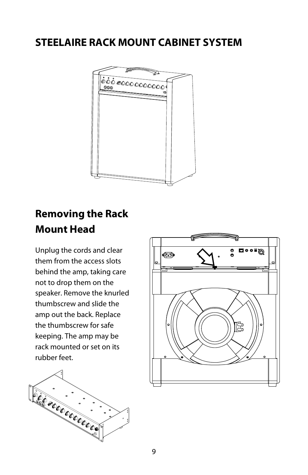## **STEELAIRE RACK MOUNT CABINET SYSTEM**



## **Removing the Rack Mount Head**

Unplug the cords and clear them from the access slots behind the amp, taking care not to drop them on the speaker. Remove the knurled thumbscrew and slide the amp out the back. Replace the thumbscrew for safe keeping. The amp may be rack mounted or set on its rubber feet.



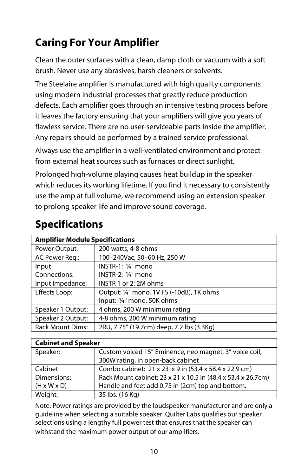# **Caring For Your Amplifier**

Clean the outer surfaces with a clean, damp cloth or vacuum with a soft brush. Never use any abrasives, harsh cleaners or solvents.

The Steelaire amplifier is manufactured with high quality components using modern industrial processes that greatly reduce production defects. Each amplifier goes through an intensive testing process before it leaves the factory ensuring that your amplifiers will give you years of flawless service. There are no user-serviceable parts inside the amplifier. Any repairs should be performed by a trained service professional.

Always use the amplifier in a well-ventilated environment and protect from external heat sources such as furnaces or direct sunlight.

Prolonged high-volume playing causes heat buildup in the speaker which reduces its working lifetime. If you find it necessary to consistently use the amp at full volume, we recommend using an extension speaker to prolong speaker life and improve sound coverage.

| <b>Amplifier Module Specifications</b> |                                           |  |
|----------------------------------------|-------------------------------------------|--|
| Power Output:                          | 200 watts, 4-8 ohms                       |  |
| AC Power Reg.:                         | 100-240Vac, 50-60 Hz, 250 W               |  |
| Input                                  | INSTR-1: 1/4" mono                        |  |
| Connections:                           | INSTR-2: 1/4" mono                        |  |
| Input Impedance:                       | INSTR 1 or 2: 2M ohms                     |  |
| Effects Loop:                          | Output: 1/4" mono, 1V FS (-10dB), 1K ohms |  |
|                                        | Input: 1/4" mono, 50K ohms                |  |
| Speaker 1 Output:                      | 4 ohms, 200 W minimum rating              |  |
| Speaker 2 Output:                      | 4-8 ohms, 200 W minimum rating            |  |
| <b>Rack Mount Dims:</b>                | 2RU, 7.75" (19.7cm) deep, 7.2 lbs (3.3Kg) |  |

## **Specifications**

| <b>Cabinet and Speaker</b> |                                                              |  |
|----------------------------|--------------------------------------------------------------|--|
| Speaker:                   | Custom voiced 15" Eminence, neo magnet, 3" voice coil,       |  |
|                            | 300W rating, in open-back cabinet                            |  |
| Cabinet                    | Combo cabinet: 21 x 23 x 9 in (53.4 x 58.4 x 22.9 cm)        |  |
| Dimensions:                | Rack Mount cabinet: 23 x 21 x 10.5 in (48.4 x 53.4 x 26.7cm) |  |
| $(H \times W \times D)$    | Handle and feet add 0.75 in (2cm) top and bottom.            |  |
| Weight:                    | 35 lbs. (16 Kg)                                              |  |

Note: Power ratings are provided by the loudspeaker manufacturer and are only a guideline when selecting a suitable speaker. Quilter Labs qualifies our speaker selections using a lengthy full power test that ensures that the speaker can withstand the maximum power output of our amplifiers.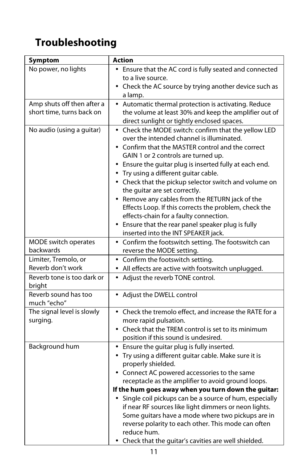# **Troubleshooting**

| Symptom                        | <b>Action</b>                                                                                                                                                                  |
|--------------------------------|--------------------------------------------------------------------------------------------------------------------------------------------------------------------------------|
| No power, no lights            | • Ensure that the AC cord is fully seated and connected                                                                                                                        |
|                                | to a live source.                                                                                                                                                              |
|                                | • Check the AC source by trying another device such as                                                                                                                         |
|                                | a lamp.                                                                                                                                                                        |
| Amp shuts off then after a     | • Automatic thermal protection is activating. Reduce                                                                                                                           |
| short time, turns back on      | the volume at least 30% and keep the amplifier out of                                                                                                                          |
| No audio (using a guitar)      | direct sunlight or tightly enclosed spaces.<br>• Check the MODE switch: confirm that the yellow LED                                                                            |
|                                | over the intended channel is illuminated.                                                                                                                                      |
|                                | • Confirm that the MASTER control and the correct                                                                                                                              |
|                                | GAIN 1 or 2 controls are turned up.                                                                                                                                            |
|                                | • Ensure the guitar plug is inserted fully at each end.                                                                                                                        |
|                                | • Try using a different guitar cable.                                                                                                                                          |
|                                | • Check that the pickup selector switch and volume on                                                                                                                          |
|                                | the guitar are set correctly.                                                                                                                                                  |
|                                | • Remove any cables from the RETURN jack of the                                                                                                                                |
|                                | Effects Loop. If this corrects the problem, check the<br>effects-chain for a faulty connection.                                                                                |
|                                | • Ensure that the rear panel speaker plug is fully                                                                                                                             |
|                                | inserted into the INT SPEAKER jack.                                                                                                                                            |
| MODE switch operates           | • Confirm the footswitch setting. The footswitch can                                                                                                                           |
| backwards                      | reverse the MODE setting.                                                                                                                                                      |
| Limiter, Tremolo, or           | • Confirm the footswitch setting.                                                                                                                                              |
| Reverb don't work              | • All effects are active with footswitch unplugged.                                                                                                                            |
| Reverb tone is too dark or     | • Adjust the reverb TONE control.                                                                                                                                              |
| bright<br>Reverb sound has too | Adjust the DWELL control                                                                                                                                                       |
| much "echo"                    |                                                                                                                                                                                |
| The signal level is slowly     | • Check the tremolo effect, and increase the RATE for a                                                                                                                        |
| surging.                       | more rapid pulsation.                                                                                                                                                          |
|                                | • Check that the TREM control is set to its minimum                                                                                                                            |
|                                | position if this sound is undesired.                                                                                                                                           |
| Background hum                 | • Ensure the guitar plug is fully inserted.                                                                                                                                    |
|                                | • Try using a different guitar cable. Make sure it is                                                                                                                          |
|                                | properly shielded.<br>• Connect AC powered accessories to the same                                                                                                             |
|                                | receptacle as the amplifier to avoid ground loops.                                                                                                                             |
|                                | If the hum goes away when you turn down the guitar:                                                                                                                            |
|                                | • Single coil pickups can be a source of hum, especially                                                                                                                       |
|                                | if near RF sources like light dimmers or neon lights.                                                                                                                          |
|                                |                                                                                                                                                                                |
|                                |                                                                                                                                                                                |
|                                |                                                                                                                                                                                |
|                                | Some guitars have a mode where two pickups are in<br>reverse polarity to each other. This mode can often<br>reduce hum.<br>Check that the guitar's cavities are well shielded. |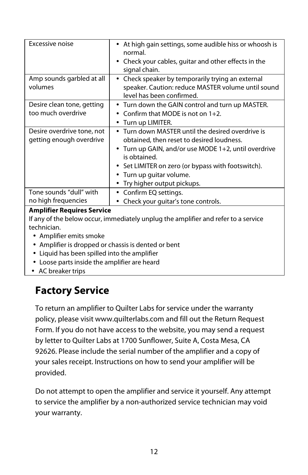| Excessive noise                                                                    | At high gain settings, some audible hiss or whoosh is<br>normal.<br>Check your cables, guitar and other effects in the<br>$\bullet$<br>signal chain. |  |
|------------------------------------------------------------------------------------|------------------------------------------------------------------------------------------------------------------------------------------------------|--|
| Amp sounds garbled at all                                                          | Check speaker by temporarily trying an external<br>$\bullet$                                                                                         |  |
| volumes                                                                            | speaker. Caution: reduce MASTER volume until sound                                                                                                   |  |
|                                                                                    | level has been confirmed.                                                                                                                            |  |
| Desire clean tone, getting                                                         | • Turn down the GAIN control and turn up MASTER.                                                                                                     |  |
| too much overdrive                                                                 | Confirm that MODE is not on $1+2$ .                                                                                                                  |  |
|                                                                                    | Turn up LIMITER.                                                                                                                                     |  |
| Desire overdrive tone, not                                                         | Turn down MASTER until the desired overdrive is                                                                                                      |  |
| getting enough overdrive                                                           | obtained, then reset to desired loudness.                                                                                                            |  |
|                                                                                    | Turn up GAIN, and/or use MODE 1+2, until overdrive                                                                                                   |  |
|                                                                                    | is obtained.                                                                                                                                         |  |
|                                                                                    | Set LIMITER on zero (or bypass with footswitch).                                                                                                     |  |
|                                                                                    | Turn up quitar volume.                                                                                                                               |  |
|                                                                                    | Try higher output pickups.                                                                                                                           |  |
| Tone sounds "dull" with                                                            | Confirm EQ settings.                                                                                                                                 |  |
| no high frequencies                                                                | Check your quitar's tone controls.                                                                                                                   |  |
| <b>Amplifier Requires Service</b>                                                  |                                                                                                                                                      |  |
| If any of the below occur, immediately unplug the amplifier and refer to a service |                                                                                                                                                      |  |
| technician.                                                                        |                                                                                                                                                      |  |

- Amplifier emits smoke
- Amplifier is dropped or chassis is dented or bent
- Liquid has been spilled into the amplifier
- Loose parts inside the amplifier are heard
- AC breaker trips

## **Factory Service**

To return an amplifier to Quilter Labs for service under the warranty policy, please visit www.quilterlabs.com and fill out the Return Request Form. If you do not have access to the website, you may send a request by letter to Quilter Labs at 1700 Sunflower, Suite A, Costa Mesa, CA 92626. Please include the serial number of the amplifier and a copy of your sales receipt. Instructions on how to send your amplifier will be provided.

Do not attempt to open the amplifier and service it yourself. Any attempt to service the amplifier by a non-authorized service technician may void your warranty.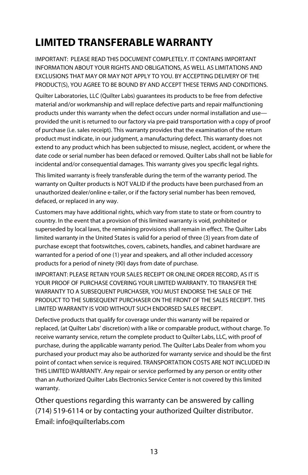# **LIMITED TRANSFERABLE WARRANTY**

IMPORTANT: PLEASE READ THIS DOCUMENT COMPLETELY. IT CONTAINS IMPORTANT INFORMATION ABOUT YOUR RIGHTS AND OBLIGATIONS, AS WELL AS LIMITATIONS AND EXCLUSIONS THAT MAY OR MAY NOT APPLY TO YOU. BY ACCEPTING DELIVERY OF THE PRODUCT(S), YOU AGREE TO BE BOUND BY AND ACCEPT THESE TERMS AND CONDITIONS.

Quilter Laboratories, LLC (Quilter Labs) guarantees its products to be free from defective material and/or workmanship and will replace defective parts and repair malfunctioning products under this warranty when the defect occurs under normal installation and use provided the unit is returned to our factory via pre-paid transportation with a copy of proof of purchase (i.e. sales receipt). This warranty provides that the examination of the return product must indicate, in our judgment, a manufacturing defect. This warranty does not extend to any product which has been subjected to misuse, neglect, accident, or where the date code or serial number has been defaced or removed. Quilter Labs shall not be liable for incidental and/or consequential damages. This warranty gives you specific legal rights.

This limited warranty is freely transferable during the term of the warranty period. The warranty on Quilter products is NOT VALID if the products have been purchased from an unauthorized dealer/online e-tailer, or if the factory serial number has been removed, defaced, or replaced in any way.

Customers may have additional rights, which vary from state to state or from country to country. In the event that a provision of this limited warranty is void, prohibited or superseded by local laws, the remaining provisions shall remain in effect. The Quilter Labs limited warranty in the United States is valid for a period of three (3) years from date of purchase except that footswitches, covers, cabinets, handles, and cabinet hardware are warranted for a period of one (1) year and speakers, and all other included accessory products for a period of ninety (90) days from date of purchase.

IMPORTANT: PLEASE RETAIN YOUR SALES RECEIPT OR ONLINE ORDER RECORD, AS IT IS YOUR PROOF OF PURCHASE COVERING YOUR LIMITED WARRANTY. TO TRANSFER THE WARRANTY TO A SUBSEQUENT PURCHASER, YOU MUST ENDORSE THE SALE OF THE PRODUCT TO THE SUBSEQUENT PURCHASER ON THE FRONT OF THE SALES RECEIPT. THIS LIMITED WARRANTY IS VOID WITHOUT SUCH ENDORSED SALES RECEIPT.

Defective products that qualify for coverage under this warranty will be repaired or replaced, (at Quilter Labs' discretion) with a like or comparable product, without charge. To receive warranty service, return the complete product to Quilter Labs, LLC, with proof of purchase, during the applicable warranty period. The Quilter Labs Dealer from whom you purchased your product may also be authorized for warranty service and should be the first point of contact when service is required. TRANSPORTATION COSTS ARE NOT INCLUDED IN THIS LIMITED WARRANTY. Any repair or service performed by any person or entity other than an Authorized Quilter Labs Electronics Service Center is not covered by this limited warranty.

Other questions regarding this warranty can be answered by calling (714) 519-6114 or by contacting your authorized Quilter distributor. Email: info@quilterlabs.com